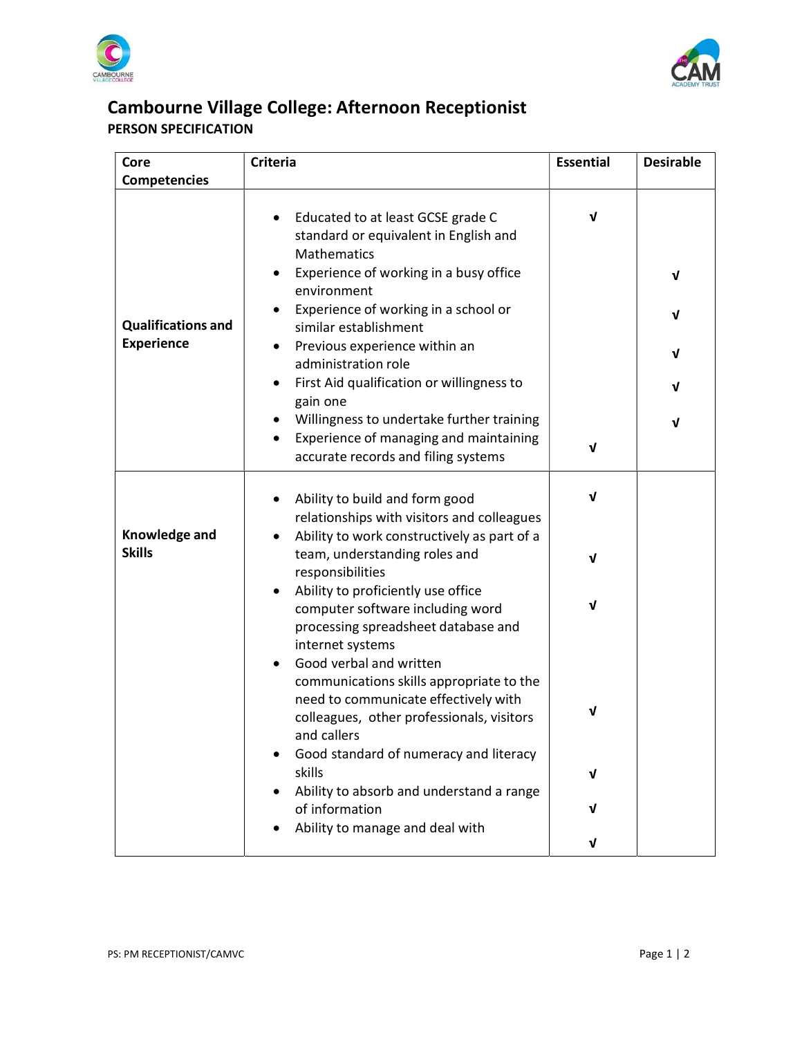



## Cambourne Village College: Afternoon Receptionist PERSON SPECIFICATION

| Core                           | <b>Criteria</b>                                                                                                                                                         | <b>Essential</b> | <b>Desirable</b> |
|--------------------------------|-------------------------------------------------------------------------------------------------------------------------------------------------------------------------|------------------|------------------|
| <b>Competencies</b>            |                                                                                                                                                                         |                  |                  |
|                                | Educated to at least GCSE grade C<br>٠<br>standard or equivalent in English and<br>Mathematics<br>Experience of working in a busy office                                | ν                | $\mathbf v$      |
| <b>Qualifications and</b>      | environment<br>Experience of working in a school or<br>similar establishment                                                                                            |                  | $\mathbf v$      |
| <b>Experience</b>              | Previous experience within an<br>$\bullet$<br>administration role                                                                                                       |                  | V                |
|                                | First Aid qualification or willingness to<br>gain one                                                                                                                   |                  | $\mathbf v$      |
|                                | Willingness to undertake further training<br>Experience of managing and maintaining<br>٠<br>accurate records and filing systems                                         | V                | V                |
|                                | Ability to build and form good<br>$\bullet$<br>relationships with visitors and colleagues                                                                               | ν                |                  |
| Knowledge and<br><b>Skills</b> | Ability to work constructively as part of a<br>team, understanding roles and<br>responsibilities                                                                        | ν                |                  |
|                                | Ability to proficiently use office<br>$\bullet$<br>computer software including word<br>processing spreadsheet database and<br>internet systems                          | ν                |                  |
|                                | Good verbal and written<br>communications skills appropriate to the<br>need to communicate effectively with<br>colleagues, other professionals, visitors<br>and callers | V                |                  |
|                                | Good standard of numeracy and literacy<br>٠<br>skills                                                                                                                   | V                |                  |
|                                | Ability to absorb and understand a range<br>of information                                                                                                              | V                |                  |
|                                | Ability to manage and deal with                                                                                                                                         | V                |                  |